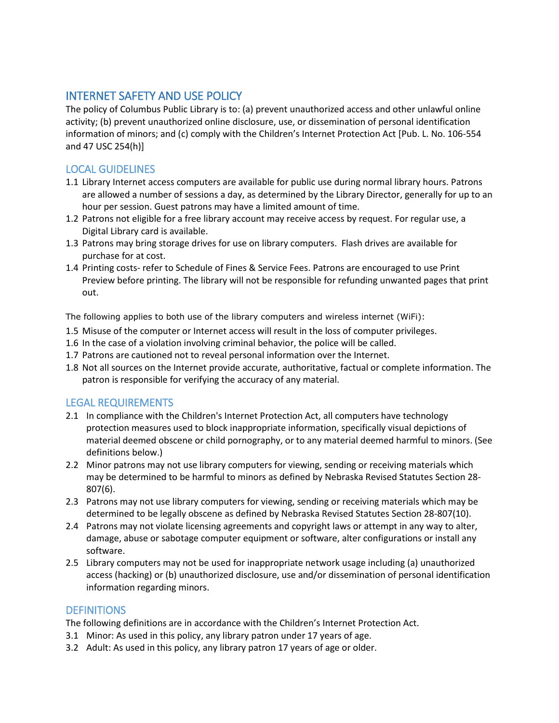## INTERNET SAFETY AND USE POLICY

The policy of Columbus Public Library is to: (a) prevent unauthorized access and other unlawful online activity; (b) prevent unauthorized online disclosure, use, or dissemination of personal identification information of minors; and (c) comply with the Children's Internet Protection Act [Pub. L. No. 106-554 and 47 USC 254(h)]

## LOCAL GUIDELINES

- 1.1 Library Internet access computers are available for public use during normal library hours. Patrons are allowed a number of sessions a day, as determined by the Library Director, generally for up to an hour per session. Guest patrons may have a limited amount of time.
- 1.2 Patrons not eligible for a free library account may receive access by request. For regular use, a Digital Library card is available.
- 1.3 Patrons may bring storage drives for use on library computers. Flash drives are available for purchase for at cost.
- 1.4 Printing costs- refer to Schedule of Fines & Service Fees. Patrons are encouraged to use Print Preview before printing. The library will not be responsible for refunding unwanted pages that print out.

The following applies to both use of the library computers and wireless internet (WiFi):

- 1.5 Misuse of the computer or Internet access will result in the loss of computer privileges.
- 1.6 In the case of a violation involving criminal behavior, the police will be called.
- 1.7 Patrons are cautioned not to reveal personal information over the Internet.
- 1.8 Not all sources on the Internet provide accurate, authoritative, factual or complete information. The patron is responsible for verifying the accuracy of any material.

## LEGAL REQUIREMENTS

- 2.1 In compliance with the Children's Internet Protection Act, all computers have technology protection measures used to block inappropriate information, specifically visual depictions of material deemed obscene or child pornography, or to any material deemed harmful to minors. (See definitions below.)
- 2.2 Minor patrons may not use library computers for viewing, sending or receiving materials which may be determined to be harmful to minors as defined by Nebraska Revised Statutes Section 28- 807(6).
- 2.3 Patrons may not use library computers for viewing, sending or receiving materials which may be determined to be legally obscene as defined by Nebraska Revised Statutes Section 28-807(10).
- 2.4 Patrons may not violate licensing agreements and copyright laws or attempt in any way to alter, damage, abuse or sabotage computer equipment or software, alter configurations or install any software.
- 2.5 Library computers may not be used for inappropriate network usage including (a) unauthorized access (hacking) or (b) unauthorized disclosure, use and/or dissemination of personal identification information regarding minors.

## **DEFINITIONS**

The following definitions are in accordance with the Children's Internet Protection Act.

- 3.1 Minor: As used in this policy, any library patron under 17 years of age.
- 3.2 Adult: As used in this policy, any library patron 17 years of age or older.